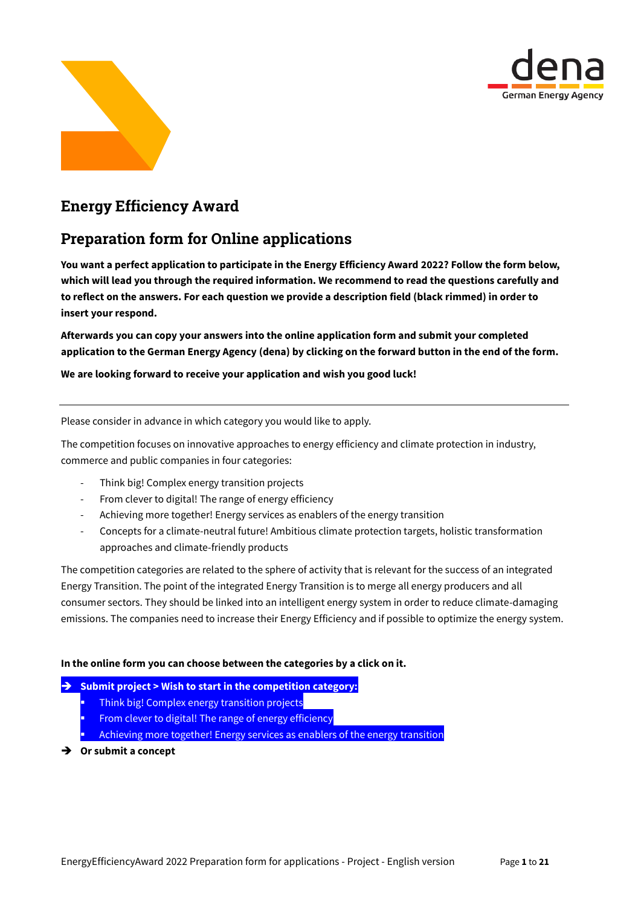



# Energy Efficiency Award

# Preparation form for Online applications

**You want a perfect application to participate in the Energy Efficiency Award 2022? Follow the form below, which will lead you through the required information. We recommend to read the questions carefully and to reflect on the answers. For each question we provide a description field (black rimmed) in order to insert your respond.**

**Afterwards you can copy your answers into the online application form and submit your completed application to the German Energy Agency (dena) by clicking on the forward button in the end of the form.**

**We are looking forward to receive your application and wish you good luck!**

Please consider in advance in which category you would like to apply.

The competition focuses on innovative approaches to energy efficiency and climate protection in industry, commerce and public companies in four categories:

- Think big! Complex energy transition projects
- From clever to digital! The range of energy efficiency
- Achieving more together! Energy services as enablers of the energy transition
- Concepts for a climate-neutral future! Ambitious climate protection targets, holistic transformation approaches and climate-friendly products

The competition categories are related to the sphere of activity that is relevant for the success of an integrated Energy Transition. The point of the integrated Energy Transition is to merge all energy producers and all consumer sectors. They should be linked into an intelligent energy system in order to reduce climate-damaging emissions. The companies need to increase their Energy Efficiency and if possible to optimize the energy system.

### **In the online form you can choose between the categories by a click on it.**

### **Bubmit project > Wish to start in the competition category:**

- Think big! Complex energy transition projects
- From clever to digital! The range of energy efficiency
- Achieving more together! Energy services as enablers of the energy transition
- **→** Or submit a concept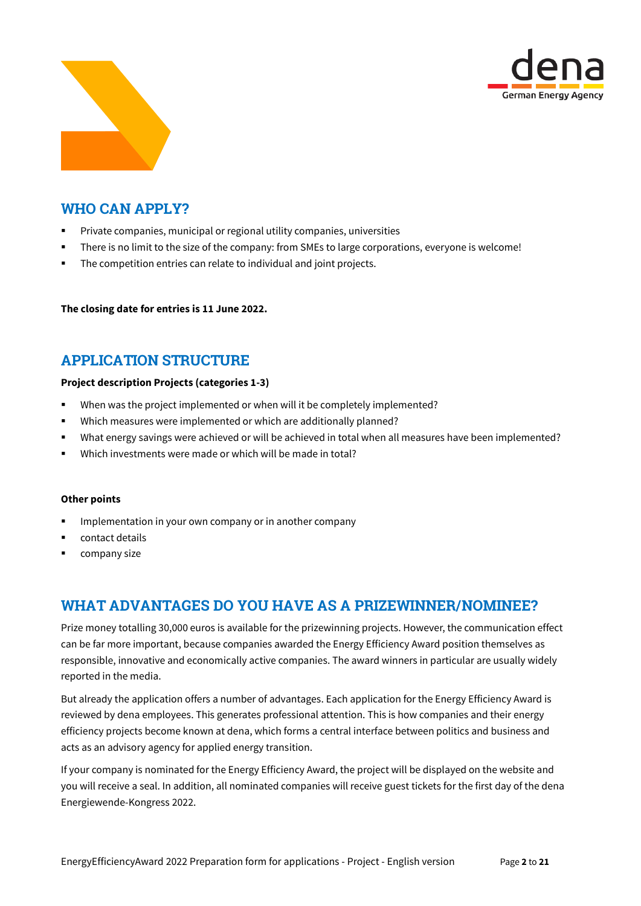



# WHO CAN APPLY?

- Private companies, municipal or regional utility companies, universities
- There is no limit to the size of the company: from SMEs to large corporations, everyone is welcome!
- The competition entries can relate to individual and joint projects.

**The closing date for entries is 11 June 2022.**

# APPLICATION STRUCTURE

### **Project description Projects (categories 1-3)**

- When was the project implemented or when will it be completely implemented?
- Which measures were implemented or which are additionally planned?
- What energy savings were achieved or will be achieved in total when all measures have been implemented?
- Which investments were made or which will be made in total?

#### **Other points**

- Implementation in your own company or in another company
- contact details
- company size

# WHAT ADVANTAGES DO YOU HAVE AS A PRIZEWINNER/NOMINEE?

Prize money totalling 30,000 euros is available for the prizewinning projects. However, the communication effect can be far more important, because companies awarded the Energy Efficiency Award position themselves as responsible, innovative and economically active companies. The award winners in particular are usually widely reported in the media.

But already the application offers a number of advantages. Each application for the Energy Efficiency Award is reviewed by dena employees. This generates professional attention. This is how companies and their energy efficiency projects become known at dena, which forms a central interface between politics and business and acts as an advisory agency for applied energy transition.

If your company is nominated for the Energy Efficiency Award, the project will be displayed on the website and you will receive a seal. In addition, all nominated companies will receive guest tickets for the first day of the dena Energiewende-Kongress 2022.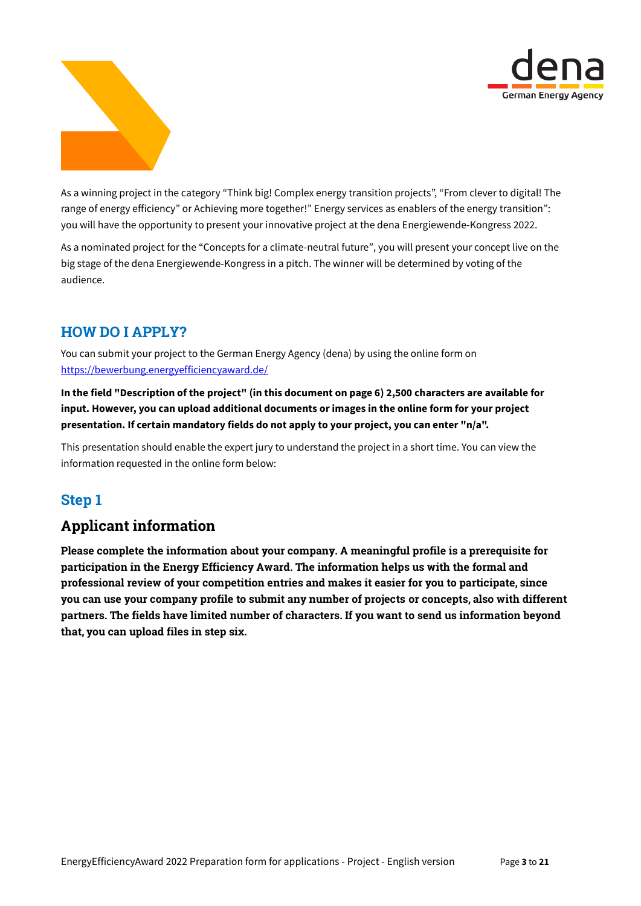



As a winning project in the category "Think big! Complex energy transition projects", "From clever to digital! The range of energy efficiency" or Achieving more together!" Energy services as enablers of the energy transition": you will have the opportunity to present your innovative project at the dena Energiewende-Kongress 2022.

As a nominated project for the "Concepts for a climate-neutral future", you will present your concept live on the big stage of the dena Energiewende-Kongress in a pitch. The winner will be determined by voting of the audience.

# HOW DO I APPLY?

You can submit your project to the German Energy Agency (dena) by using the online form on <https://bewerbung.energyefficiencyaward.de/>

**In the field "Description of the project" (in this document on page 6) 2,500 characters are available for input. However, you can upload additional documents or images in the online form for your project presentation. If certain mandatory fields do not apply to your project, you can enter "n/a".** 

This presentation should enable the expert jury to understand the project in a short time. You can view the information requested in the online form below:

# Step 1

# Applicant information

Please complete the information about your company. A meaningful profile is a prerequisite for participation in the Energy Efficiency Award. The information helps us with the formal and professional review of your competition entries and makes it easier for you to participate, since you can use your company profile to submit any number of projects or concepts, also with different partners. The fields have limited number of characters. If you want to send us information beyond that, you can upload files in step six.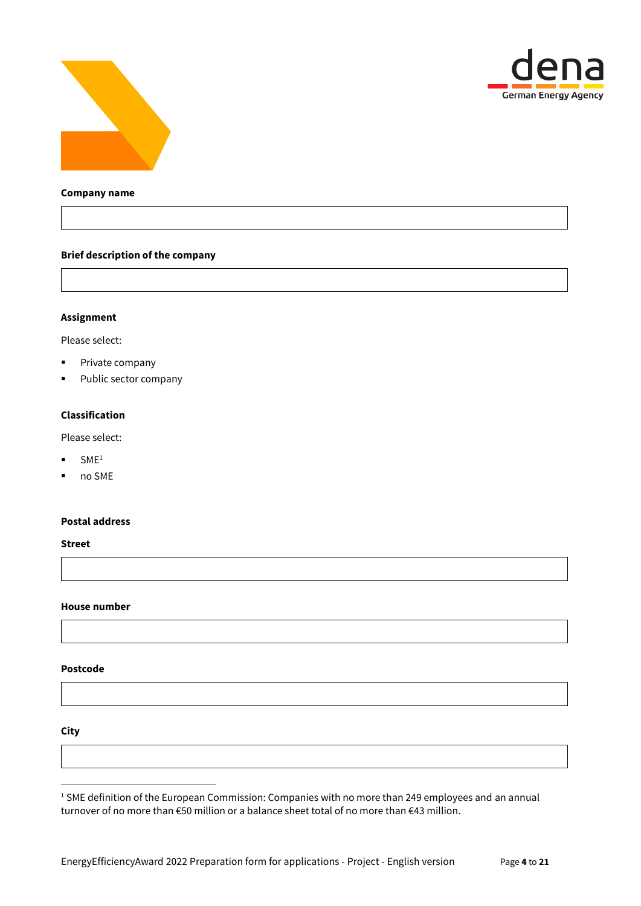



#### **Company name**

#### **Brief description of the company**

### **Assignment**

Please select:

- **•** Private company
- **Public sector company**

#### **Classification**

Please select:

- $\blacksquare$  SME<sup>1</sup>
- no SME

#### **Postal address**

**Street**

#### **House number**

#### **Postcode**

**City**

1

<sup>1</sup> SME definition of the European Commission: Companies with no more than 249 employees and an annual turnover of no more than €50 million or a balance sheet total of no more than €43 million.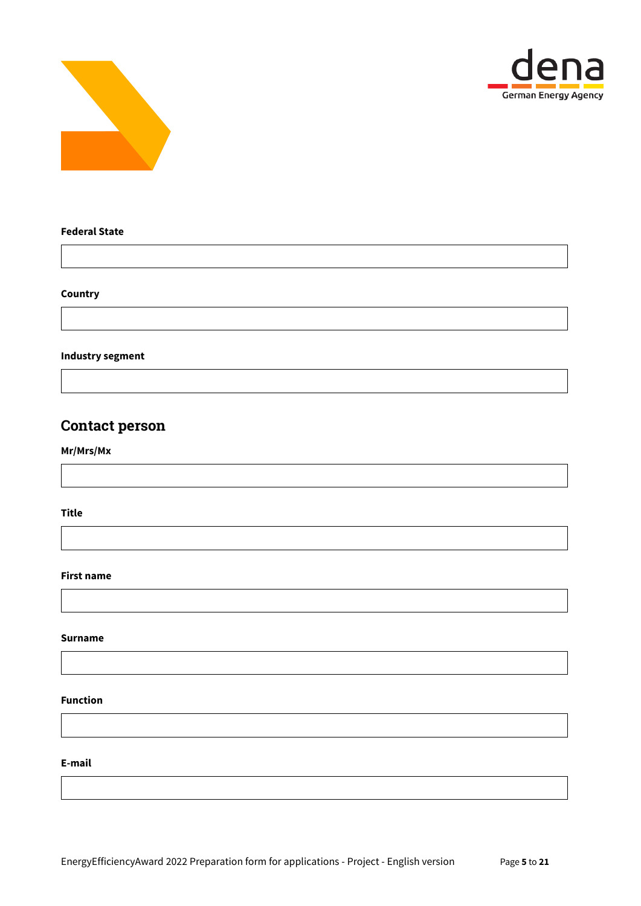



### **Federal State**

### **Country**

### **Industry segment**

# Contact person

## **Mr/Mrs/Mx**

**Title**

#### **First name**

#### **Surname**

#### **Function**

**E-mail**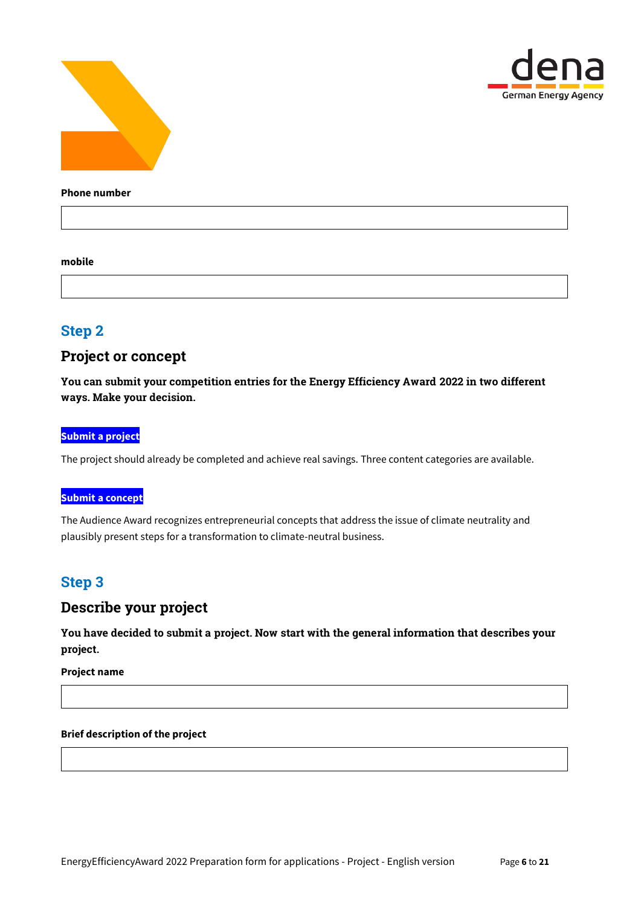



#### **Phone number**

#### **mobile**

# Step 2

## Project or concept

You can submit your competition entries for the Energy Efficiency Award 2022 in two different ways. Make your decision.

#### **Submit a project**

The project should already be completed and achieve real savings. Three content categories are available.

### **Submit a concept**

The Audience Award recognizes entrepreneurial concepts that address the issue of climate neutrality and plausibly present steps for a transformation to climate-neutral business.

# Step 3

# Describe your project

You have decided to submit a project. Now start with the general information that describes your project.

**Project name**

### **Brief description of the project**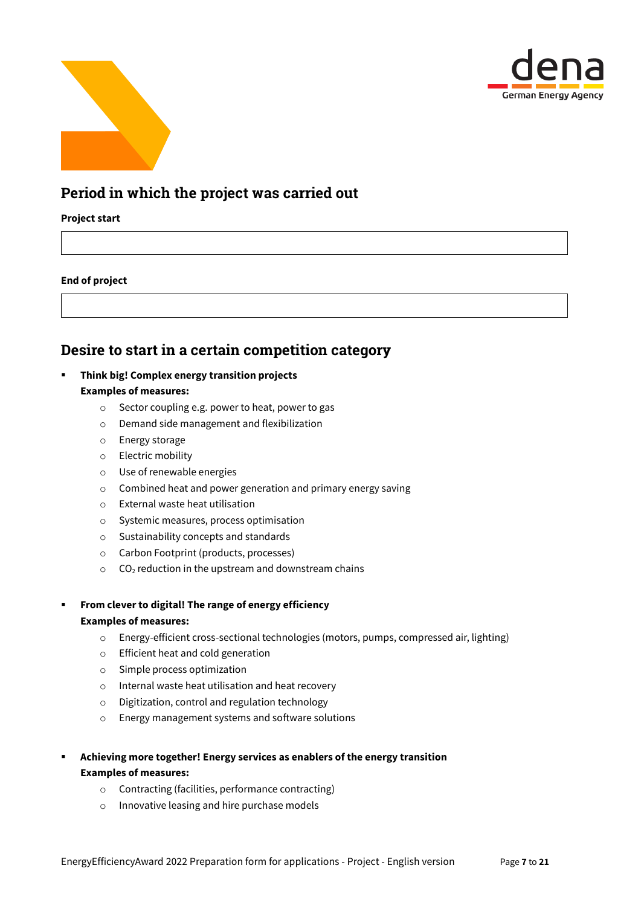



# Period in which the project was carried out

### **Project start**

### **End of project**

# Desire to start in a certain competition category

## **Think big! Complex energy transition projects**

## **Examples of measures:**

- o Sector coupling e.g. power to heat, power to gas
- o Demand side management and flexibilization
- o Energy storage
- o Electric mobility
- o Use of renewable energies
- o Combined heat and power generation and primary energy saving
- o External waste heat utilisation
- o Systemic measures, process optimisation
- o Sustainability concepts and standards
- o Carbon Footprint (products, processes)
- $\circ$  CO<sub>2</sub> reduction in the upstream and downstream chains
- **From clever to digital! The range of energy efficiency Examples of measures:**
	- o Energy-efficient cross-sectional technologies (motors, pumps, compressed air, lighting)
	- o Efficient heat and cold generation
	- o Simple process optimization
	- o Internal waste heat utilisation and heat recovery
	- o Digitization, control and regulation technology
	- o Energy management systems and software solutions
- **Achieving more together! Energy services as enablers of the energy transition Examples of measures:**
	- o Contracting (facilities, performance contracting)
	- o Innovative leasing and hire purchase models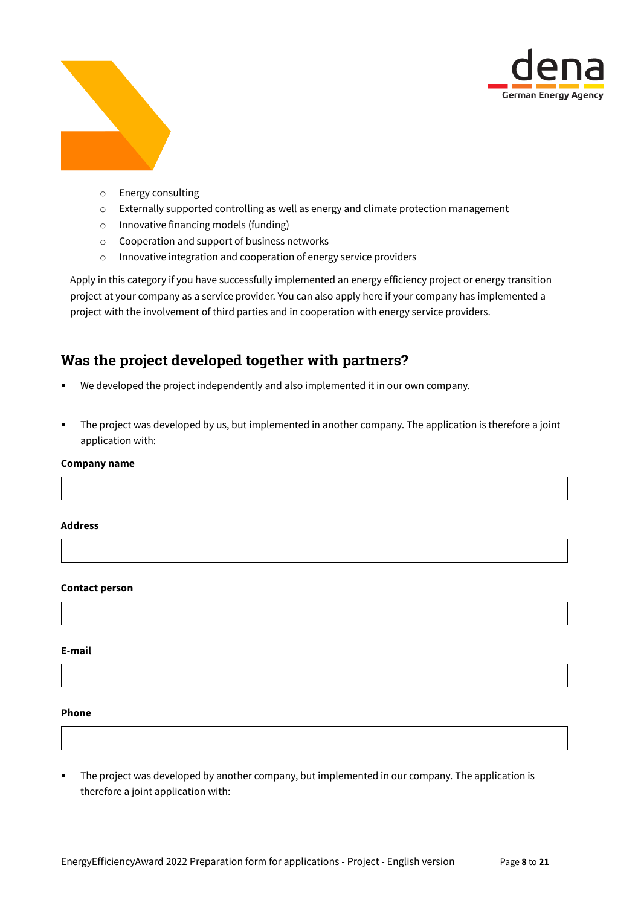



- o Energy consulting
- o Externally supported controlling as well as energy and climate protection management
- o Innovative financing models (funding)
- o Cooperation and support of business networks
- o Innovative integration and cooperation of energy service providers

Apply in this category if you have successfully implemented an energy efficiency project or energy transition project at your company as a service provider. You can also apply here if your company has implemented a project with the involvement of third parties and in cooperation with energy service providers.

# Was the project developed together with partners?

- We developed the project independently and also implemented it in our own company.
- The project was developed by us, but implemented in another company. The application is therefore a joint application with:

#### **Company name**

#### **Address**

#### **Contact person**

**E-mail**

#### **Phone**

 The project was developed by another company, but implemented in our company. The application is therefore a joint application with: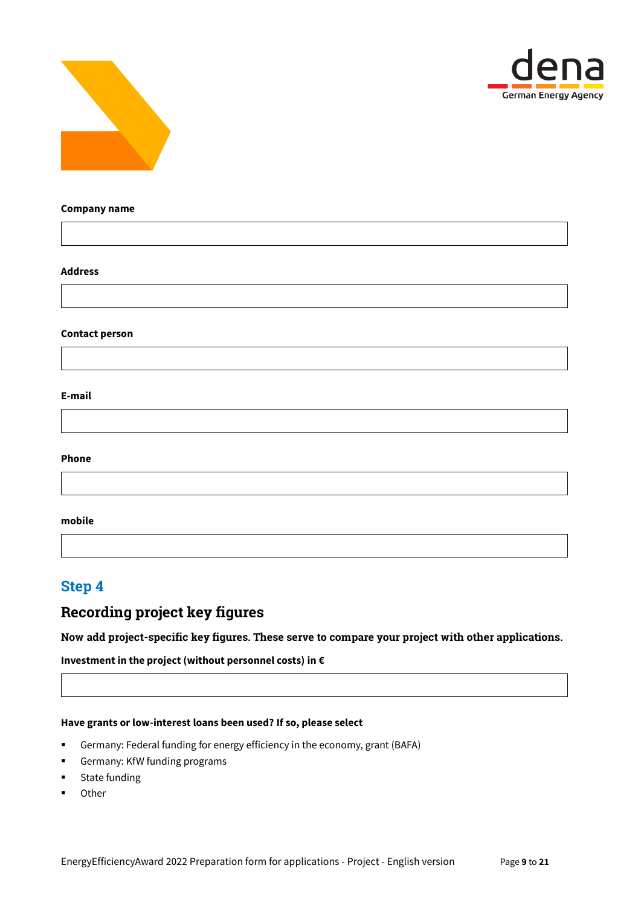



#### **Company name**

#### **Address**

#### **Contact person**

#### **E-mail**

#### **Phone**

#### **mobile**

# Step 4

# Recording project key figures

### Now add project-specific key figures. These serve to compare your project with other applications.

## **Investment in the project (without personnel costs) in €**

#### **Have grants or low-interest loans been used? If so, please select**

- Germany: Federal funding for energy efficiency in the economy, grant (BAFA)
- Germany: KfW funding programs
- **EXECUTE:** State funding
- **Other**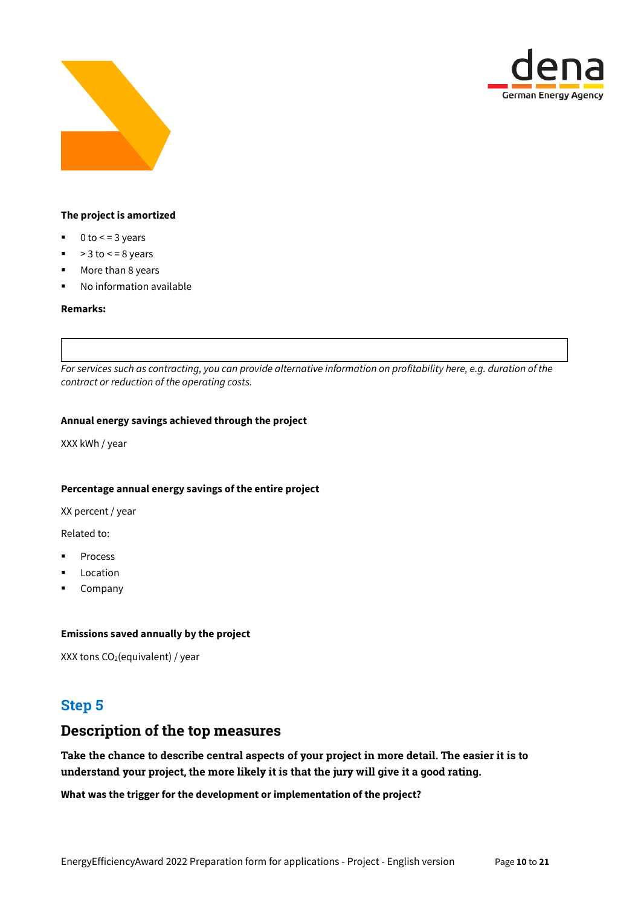



### **The project is amortized**

- $\blacksquare$  0 to  $\lt$  = 3 years
- $\bullet$  > 3 to  $\lt$  = 8 years
- **More than 8 years**
- **No information available**

#### **Remarks:**

*For services such as contracting, you can provide alternative information on profitability here, e.g. duration of the contract or reduction of the operating costs.*

#### **Annual energy savings achieved through the project**

XXX kWh / year

#### **Percentage annual energy savings of the entire project**

XX percent / year

Related to:

- Process
- Location
- **Company**

#### **Emissions saved annually by the project**

XXX tons  $CO<sub>2</sub>(equivalent) / year$ 

# Step 5

# Description of the top measures

Take the chance to describe central aspects of your project in more detail. The easier it is to understand your project, the more likely it is that the jury will give it a good rating.

### **What was the trigger for the development or implementation of the project?**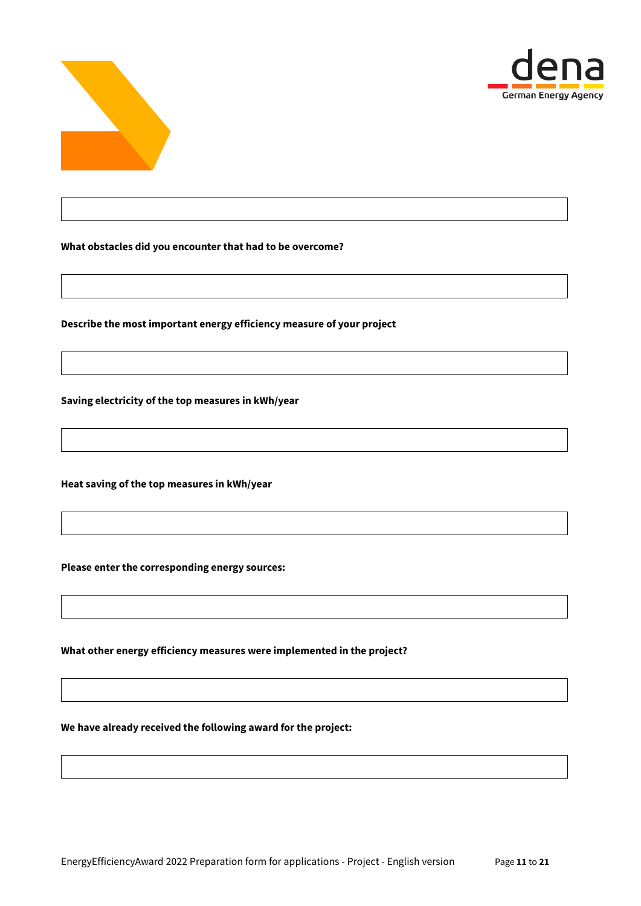



**What obstacles did you encounter that had to be overcome?**

**Describe the most important energy efficiency measure of your project**

**Saving electricity of the top measures in kWh/year**

**Heat saving of the top measures in kWh/year**

**Please enter the corresponding energy sources:**

**What other energy efficiency measures were implemented in the project?**

**We have already received the following award for the project:**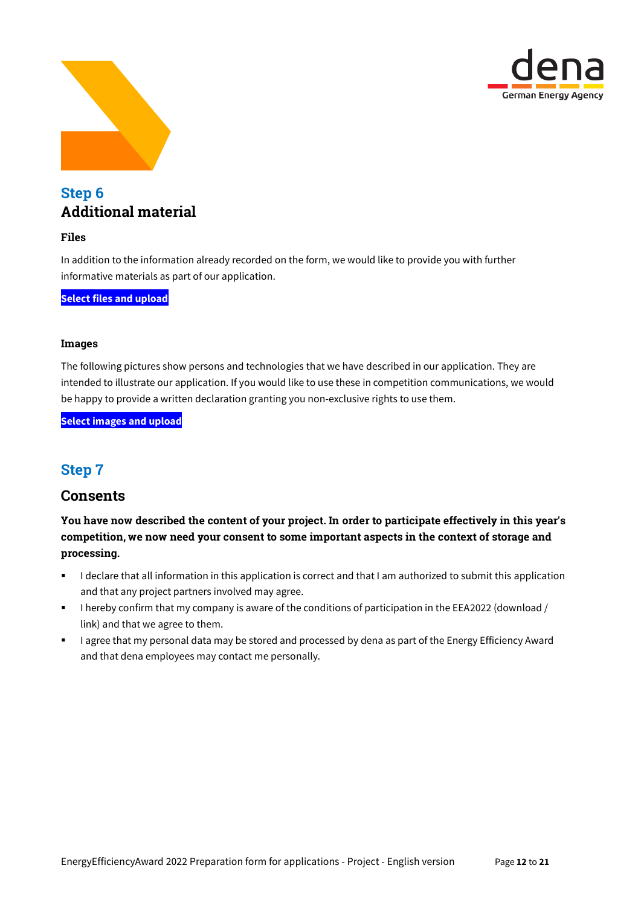



# Step 6 Additional material

## Files

In addition to the information already recorded on the form, we would like to provide you with further informative materials as part of our application.

**Select files and upload**

### Images

The following pictures show persons and technologies that we have described in our application. They are intended to illustrate our application. If you would like to use these in competition communications, we would be happy to provide a written declaration granting you non-exclusive rights to use them.

**Select images and upload**

# Step 7

# **Consents**

You have now described the content of your project. In order to participate effectively in this year's competition, we now need your consent to some important aspects in the context of storage and processing.

- I declare that all information in this application is correct and that I am authorized to submit this application and that any project partners involved may agree.
- I hereby confirm that my company is aware of the conditions of participation in the EEA2022 (download / link) and that we agree to them.
- **I** agree that my personal data may be stored and processed by dena as part of the Energy Efficiency Award and that dena employees may contact me personally.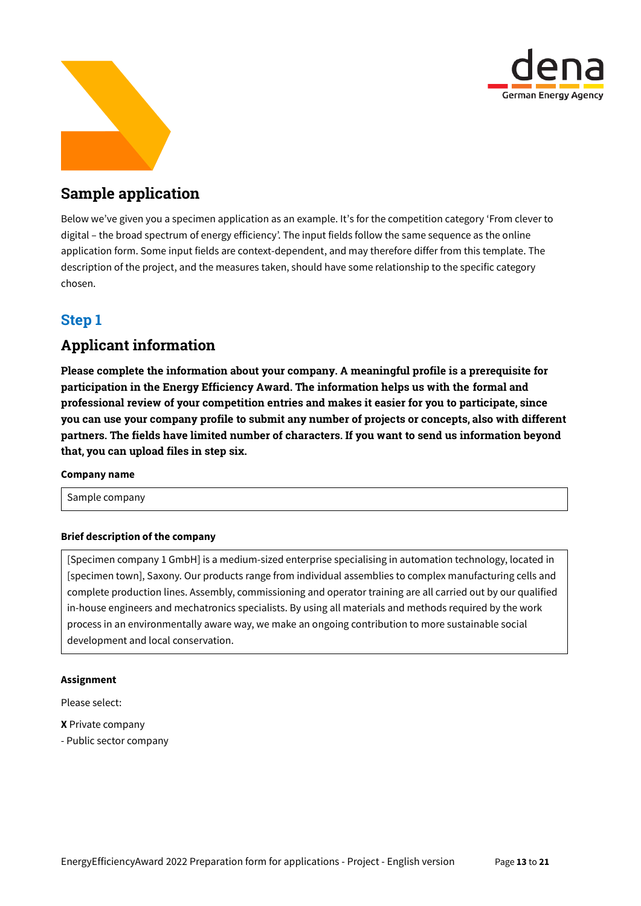



# Sample application

Below we've given you a specimen application as an example. It's for the competition category 'From clever to digital – the broad spectrum of energy efficiency'. The input fields follow the same sequence as the online application form. Some input fields are context-dependent, and may therefore differ from this template. The description of the project, and the measures taken, should have some relationship to the specific category chosen.

# Step 1

# Applicant information

Please complete the information about your company. A meaningful profile is a prerequisite for participation in the Energy Efficiency Award. The information helps us with the formal and professional review of your competition entries and makes it easier for you to participate, since you can use your company profile to submit any number of projects or concepts, also with different partners. The fields have limited number of characters. If you want to send us information beyond that, you can upload files in step six.

### **Company name**

Sample company

## **Brief description of the company**

[Specimen company 1 GmbH] is a medium-sized enterprise specialising in automation technology, located in [specimen town], Saxony. Our products range from individual assemblies to complex manufacturing cells and complete production lines. Assembly, commissioning and operator training are all carried out by our qualified in-house engineers and mechatronics specialists. By using all materials and methods required by the work process in an environmentally aware way, we make an ongoing contribution to more sustainable social development and local conservation.

### **Assignment**

Please select:

- **X** Private company
- Public sector company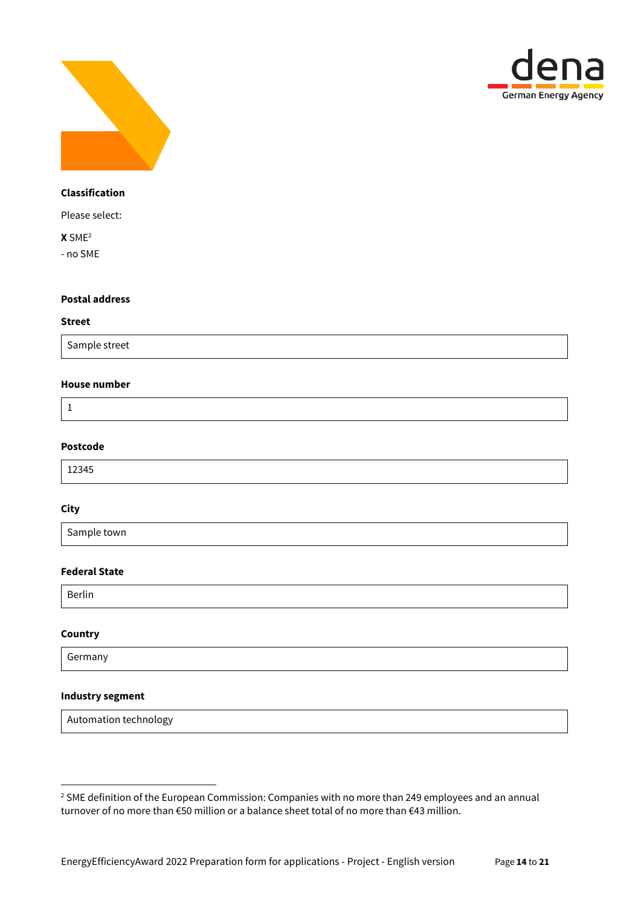



### **Classification**

Please select:

**X** SME<sup>2</sup>

- no SME

#### **Postal address**

#### **Street**

Sample street

### **House number**

1

### **Postcode**

12345

#### **City**

Sample town

## **Federal State**

Berlin

#### **Country**

1

Germany

### **Industry segment**

Automation technology

<sup>&</sup>lt;sup>2</sup> SME definition of the European Commission: Companies with no more than 249 employees and an annual turnover of no more than €50 million or a balance sheet total of no more than €43 million.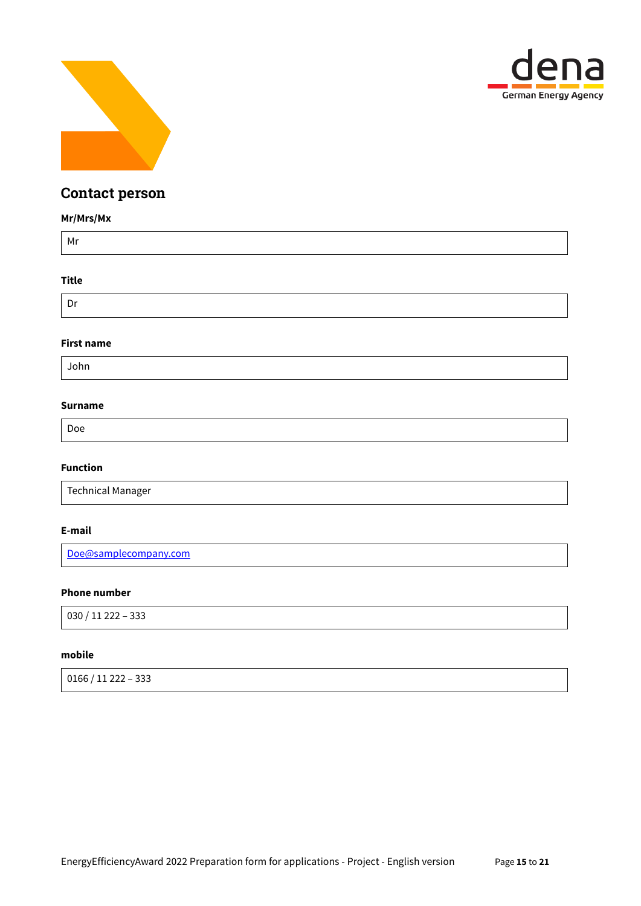



# Contact person

## **Mr/Mrs/Mx**

| Mr           |  |  |
|--------------|--|--|
| <b>Title</b> |  |  |

# Dr

### **First name**

John

## **Surname**

Doe

## **Function**

Technical Manager

### **E-mail**

[Doe@samplecompany.com](mailto:Doe@samplecompany.com)

## **Phone number**

030 / 11 222 – 333

### **mobile**

0166 / 11 222 – 333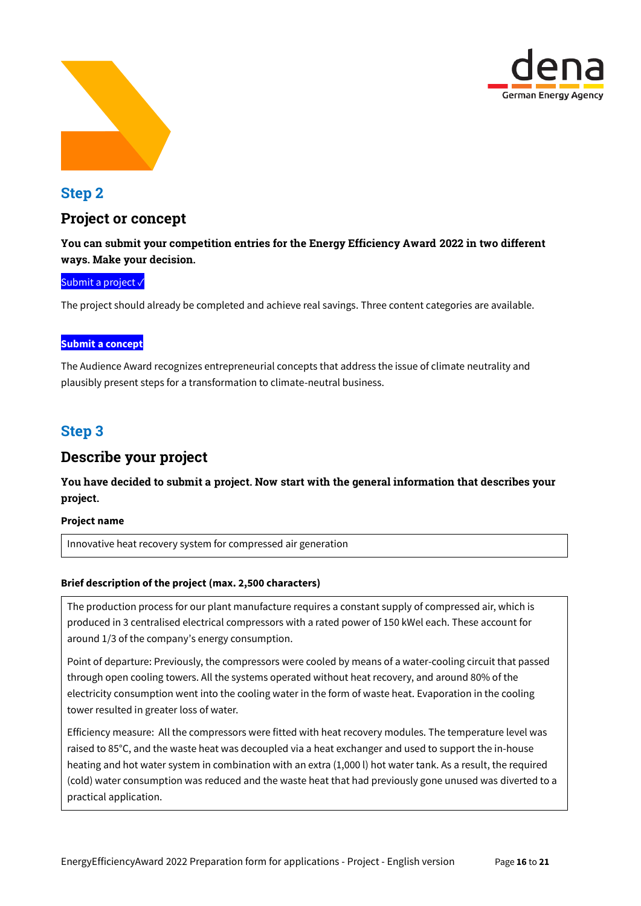



# Step 2

# Project or concept

## You can submit your competition entries for the Energy Efficiency Award 2022 in two different ways. Make your decision.

## Submit a project√

The project should already be completed and achieve real savings. Three content categories are available.

## **Submit a concept**

The Audience Award recognizes entrepreneurial concepts that address the issue of climate neutrality and plausibly present steps for a transformation to climate-neutral business.

# Step 3

# Describe your project

You have decided to submit a project. Now start with the general information that describes your project.

### **Project name**

Innovative heat recovery system for compressed air generation

## **Brief description of the project (max. 2,500 characters)**

The production process for our plant manufacture requires a constant supply of compressed air, which is produced in 3 centralised electrical compressors with a rated power of 150 kWel each. These account for around 1/3 of the company's energy consumption.

Point of departure: Previously, the compressors were cooled by means of a water-cooling circuit that passed through open cooling towers. All the systems operated without heat recovery, and around 80% of the electricity consumption went into the cooling water in the form of waste heat. Evaporation in the cooling tower resulted in greater loss of water.

Efficiency measure: All the compressors were fitted with heat recovery modules. The temperature level was raised to 85°C, and the waste heat was decoupled via a heat exchanger and used to support the in-house heating and hot water system in combination with an extra (1,000 l) hot water tank. As a result, the required (cold) water consumption was reduced and the waste heat that had previously gone unused was diverted to a practical application.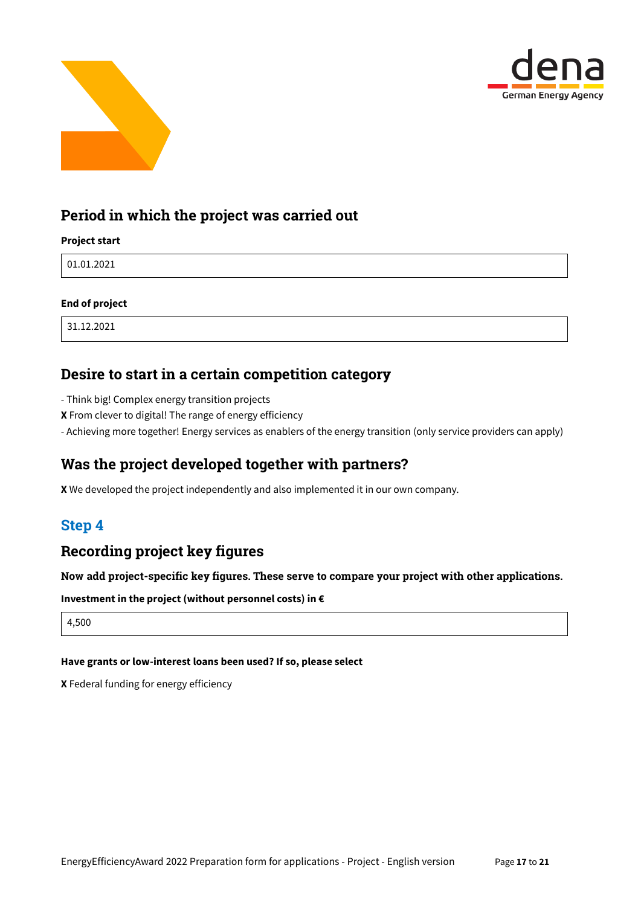



# Period in which the project was carried out

## **Project start**

01.01.2021

## **End of project**

31.12.2021

# Desire to start in a certain competition category

- Think big! Complex energy transition projects
- **X** From clever to digital! The range of energy efficiency
- Achieving more together! Energy services as enablers of the energy transition (only service providers can apply)

# Was the project developed together with partners?

**X** We developed the project independently and also implemented it in our own company.

# Step 4

# Recording project key figures

Now add project-specific key figures. These serve to compare your project with other applications.

**Investment in the project (without personnel costs) in €**

4,500

### **Have grants or low-interest loans been used? If so, please select**

**X** Federal funding for energy efficiency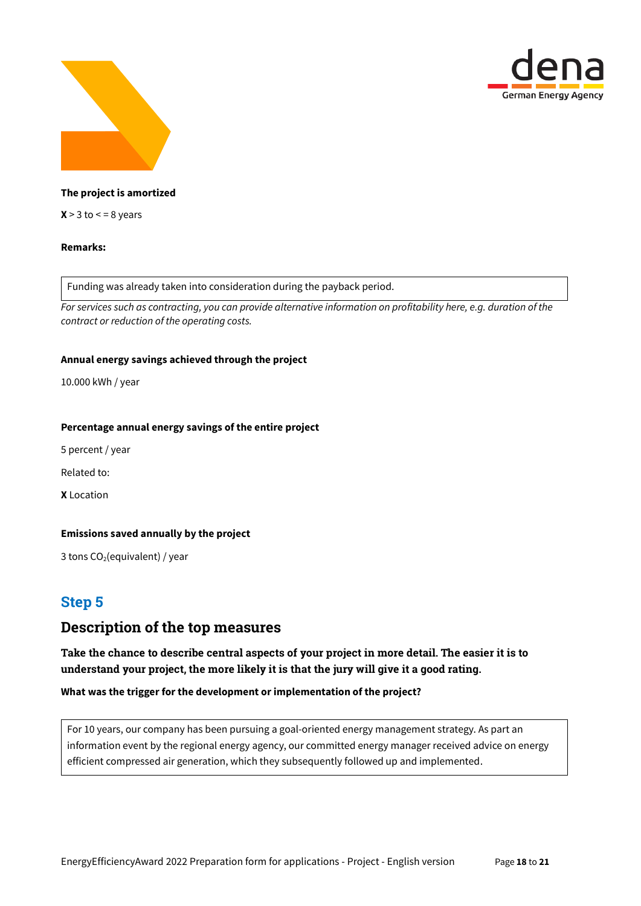



## **The project is amortized**

 $X > 3$  to  $\lt = 8$  years

#### **Remarks:**

Funding was already taken into consideration during the payback period.

*For services such as contracting, you can provide alternative information on profitability here, e.g. duration of the contract or reduction of the operating costs.*

#### **Annual energy savings achieved through the project**

10.000 kWh / year

#### **Percentage annual energy savings of the entire project**

5 percent / year

Related to:

**X** Location

### **Emissions saved annually by the project**

3 tons  $CO<sub>2</sub>(equivalent) / year$ 

# Step 5

# Description of the top measures

Take the chance to describe central aspects of your project in more detail. The easier it is to understand your project, the more likely it is that the jury will give it a good rating.

#### **What was the trigger for the development or implementation of the project?**

For 10 years, our company has been pursuing a goal-oriented energy management strategy. As part an information event by the regional energy agency, our committed energy manager received advice on energy efficient compressed air generation, which they subsequently followed up and implemented.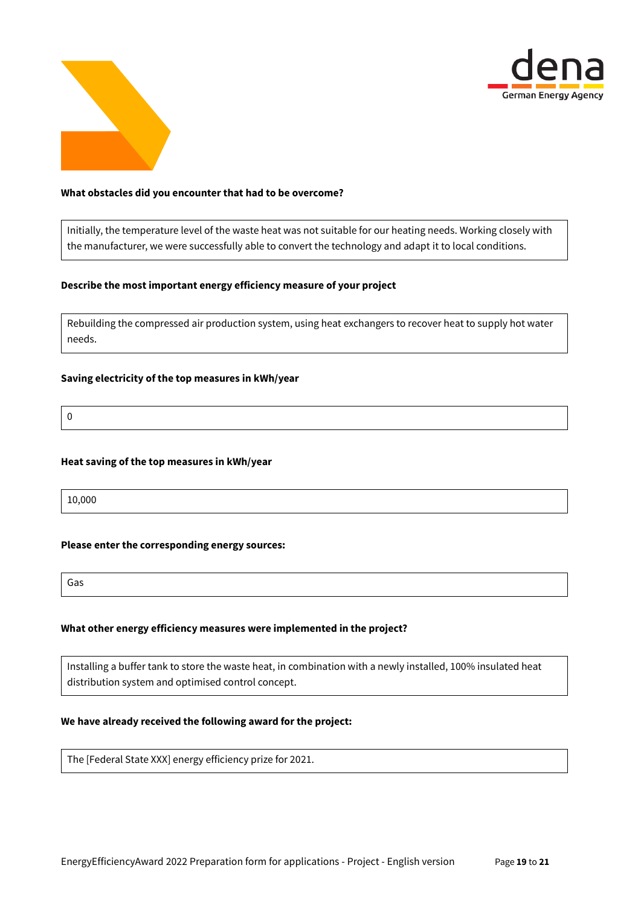



#### **What obstacles did you encounter that had to be overcome?**

Initially, the temperature level of the waste heat was not suitable for our heating needs. Working closely with the manufacturer, we were successfully able to convert the technology and adapt it to local conditions.

#### **Describe the most important energy efficiency measure of your project**

Rebuilding the compressed air production system, using heat exchangers to recover heat to supply hot water needs.

## **Saving electricity of the top measures in kWh/year**

0

#### **Heat saving of the top measures in kWh/year**

10,000

#### **Please enter the corresponding energy sources:**

Gas

### **What other energy efficiency measures were implemented in the project?**

Installing a buffer tank to store the waste heat, in combination with a newly installed, 100% insulated heat distribution system and optimised control concept.

#### **We have already received the following award for the project:**

The [Federal State XXX] energy efficiency prize for 2021.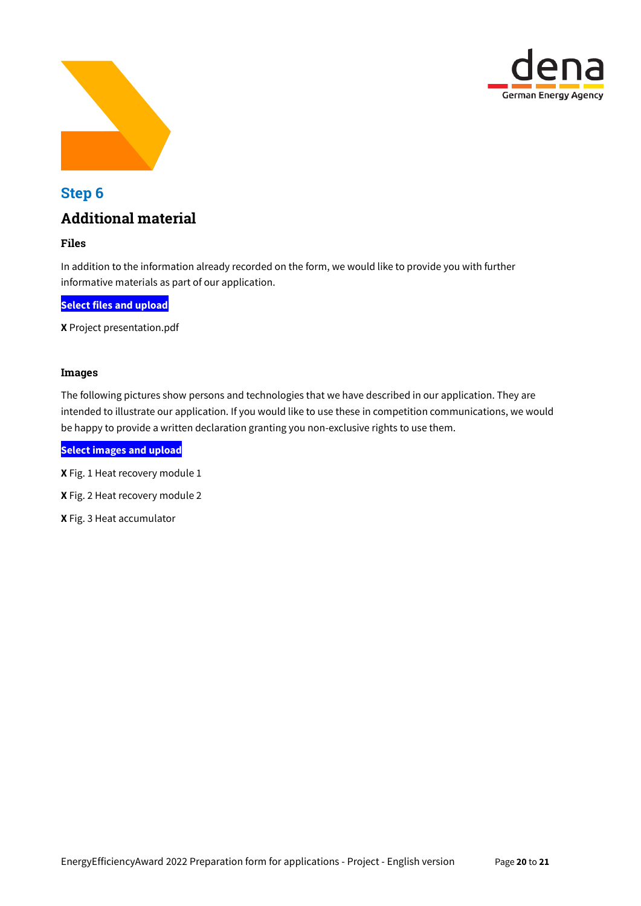



# Step 6 Additional material

## Files

In addition to the information already recorded on the form, we would like to provide you with further informative materials as part of our application.

**Select files and upload**

**X** Project presentation.pdf

### Images

The following pictures show persons and technologies that we have described in our application. They are intended to illustrate our application. If you would like to use these in competition communications, we would be happy to provide a written declaration granting you non-exclusive rights to use them.

**Select images and upload**

**X** Fig. 1 Heat recovery module 1

**X** Fig. 2 Heat recovery module 2

**X** Fig. 3 Heat accumulator